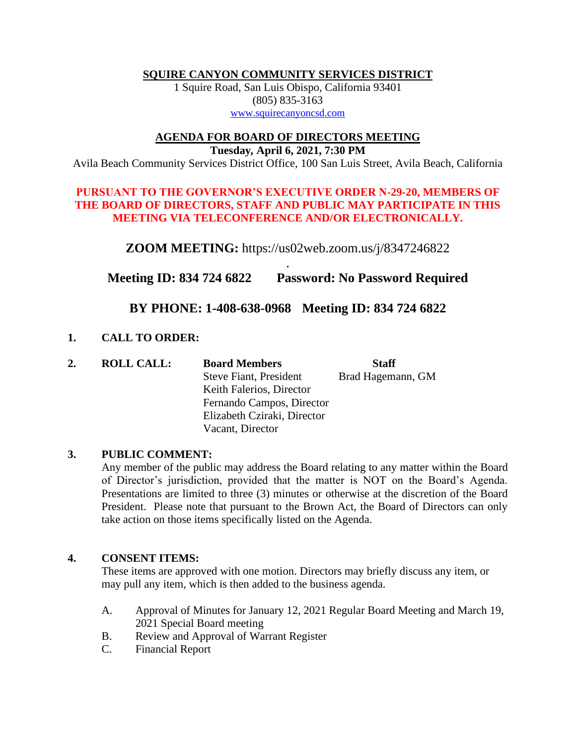**SQUIRE CANYON COMMUNITY SERVICES DISTRICT**

1 Squire Road, San Luis Obispo, California 93401 (805) 835-3163 [www.squirecanyoncsd.com](http://www.squirecanyoncsd.com/)

#### **AGENDA FOR BOARD OF DIRECTORS MEETING**

**Tuesday***,* **April 6, 2021, 7:30 PM** Avila Beach Community Services District Office, 100 San Luis Street, Avila Beach, California

## **PURSUANT TO THE GOVERNOR'S EXECUTIVE ORDER N-29-20, MEMBERS OF THE BOARD OF DIRECTORS, STAFF AND PUBLIC MAY PARTICIPATE IN THIS MEETING VIA TELECONFERENCE AND/OR ELECTRONICALLY.**

**ZOOM MEETING:** https://us02web.zoom.us/j/8347246822

. **Meeting ID: 834 724 6822 Password: No Password Required**

# **BY PHONE: 1-408-638-0968 Meeting ID: 834 724 6822**

# **1. CALL TO ORDER:**

| 2. | <b>ROLL CALL:</b> | <b>Board Members</b>          | <b>Staff</b>      |
|----|-------------------|-------------------------------|-------------------|
|    |                   | <b>Steve Fiant, President</b> | Brad Hagemann, GM |
|    |                   | Keith Falerios, Director      |                   |
|    |                   | Fernando Campos, Director     |                   |
|    |                   | Elizabeth Cziraki, Director   |                   |
|    |                   | Vacant, Director              |                   |

# **3. PUBLIC COMMENT:**

Any member of the public may address the Board relating to any matter within the Board of Director's jurisdiction, provided that the matter is NOT on the Board's Agenda. Presentations are limited to three (3) minutes or otherwise at the discretion of the Board President. Please note that pursuant to the Brown Act, the Board of Directors can only take action on those items specifically listed on the Agenda.

# **4. CONSENT ITEMS:**

These items are approved with one motion. Directors may briefly discuss any item, or may pull any item, which is then added to the business agenda.

- A. Approval of Minutes for January 12, 2021 Regular Board Meeting and March 19, 2021 Special Board meeting
- B. Review and Approval of Warrant Register
- C. Financial Report